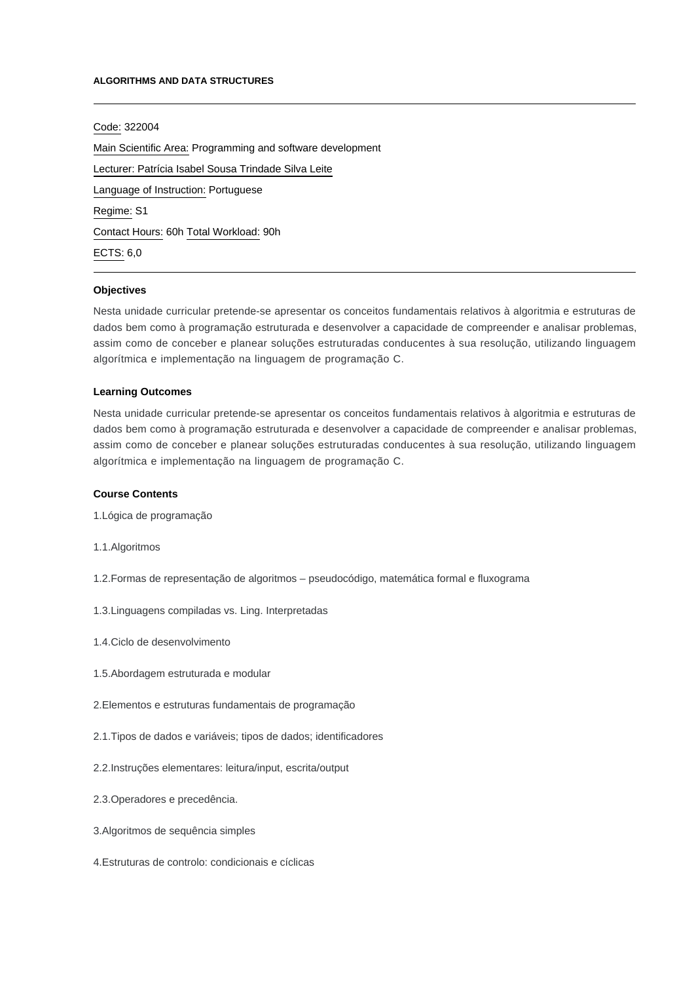#### **ALGORITHMS AND DATA STRUCTURES**

# Code: 322004

Main Scientific Area: Programming and software development Lecturer: [Patrícia Isabel Sousa Trindade Silva Leite](mailto:plbrandao@ipca.pt) Language of Instruction: Portuguese Regime: S1 Contact Hours: 60h Total Workload: 90h ECTS: 6,0

### **Objectives**

Nesta unidade curricular pretende-se apresentar os conceitos fundamentais relativos à algoritmia e estruturas de dados bem como à programação estruturada e desenvolver a capacidade de compreender e analisar problemas, assim como de conceber e planear soluções estruturadas conducentes à sua resolução, utilizando linguagem algorítmica e implementação na linguagem de programação C.

#### **Learning Outcomes**

Nesta unidade curricular pretende-se apresentar os conceitos fundamentais relativos à algoritmia e estruturas de dados bem como à programação estruturada e desenvolver a capacidade de compreender e analisar problemas, assim como de conceber e planear soluções estruturadas conducentes à sua resolução, utilizando linguagem algorítmica e implementação na linguagem de programação C.

### **Course Contents**

- 1.Lógica de programação
- 1.1.Algoritmos
- 1.2.Formas de representação de algoritmos pseudocódigo, matemática formal e fluxograma
- 1.3.Linguagens compiladas vs. Ling. Interpretadas
- 1.4.Ciclo de desenvolvimento
- 1.5.Abordagem estruturada e modular
- 2.Elementos e estruturas fundamentais de programação
- 2.1.Tipos de dados e variáveis; tipos de dados; identificadores
- 2.2.Instruções elementares: leitura/input, escrita/output
- 2.3.Operadores e precedência.
- 3.Algoritmos de sequência simples
- 4.Estruturas de controlo: condicionais e cíclicas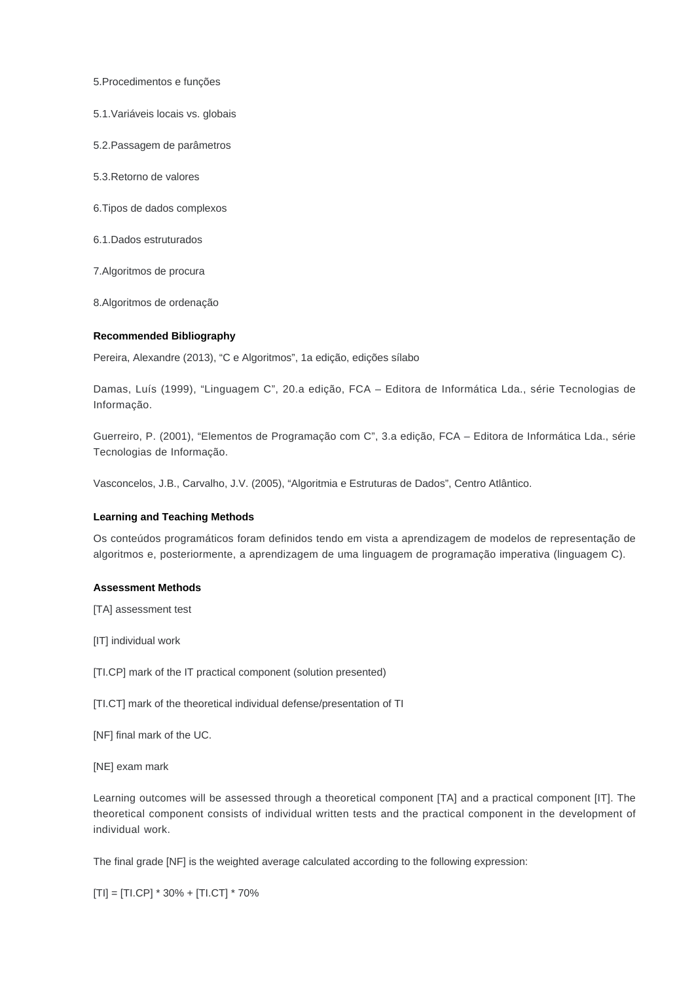5.Procedimentos e funções

5.1.Variáveis locais vs. globais

5.2.Passagem de parâmetros

5.3.Retorno de valores

6.Tipos de dados complexos

6.1.Dados estruturados

7.Algoritmos de procura

8.Algoritmos de ordenação

### **Recommended Bibliography**

Pereira, Alexandre (2013), "C e Algoritmos", 1a edição, edições sílabo

Damas, Luís (1999), "Linguagem C", 20.a edição, FCA – Editora de Informática Lda., série Tecnologias de Informação.

Guerreiro, P. (2001), "Elementos de Programação com C", 3.a edição, FCA – Editora de Informática Lda., série Tecnologias de Informação.

Vasconcelos, J.B., Carvalho, J.V. (2005), "Algoritmia e Estruturas de Dados", Centro Atlântico.

## **Learning and Teaching Methods**

Os conteúdos programáticos foram definidos tendo em vista a aprendizagem de modelos de representação de algoritmos e, posteriormente, a aprendizagem de uma linguagem de programação imperativa (linguagem C).

## **Assessment Methods**

[TA] assessment test

[IT] individual work

[TI.CP] mark of the IT practical component (solution presented)

[TI.CT] mark of the theoretical individual defense/presentation of TI

[NF] final mark of the UC.

[NE] exam mark

Learning outcomes will be assessed through a theoretical component [TA] and a practical component [IT]. The theoretical component consists of individual written tests and the practical component in the development of individual work.

The final grade [NF] is the weighted average calculated according to the following expression:

[TI] = [TI.CP] \* 30% + [TI.CT] \* 70%